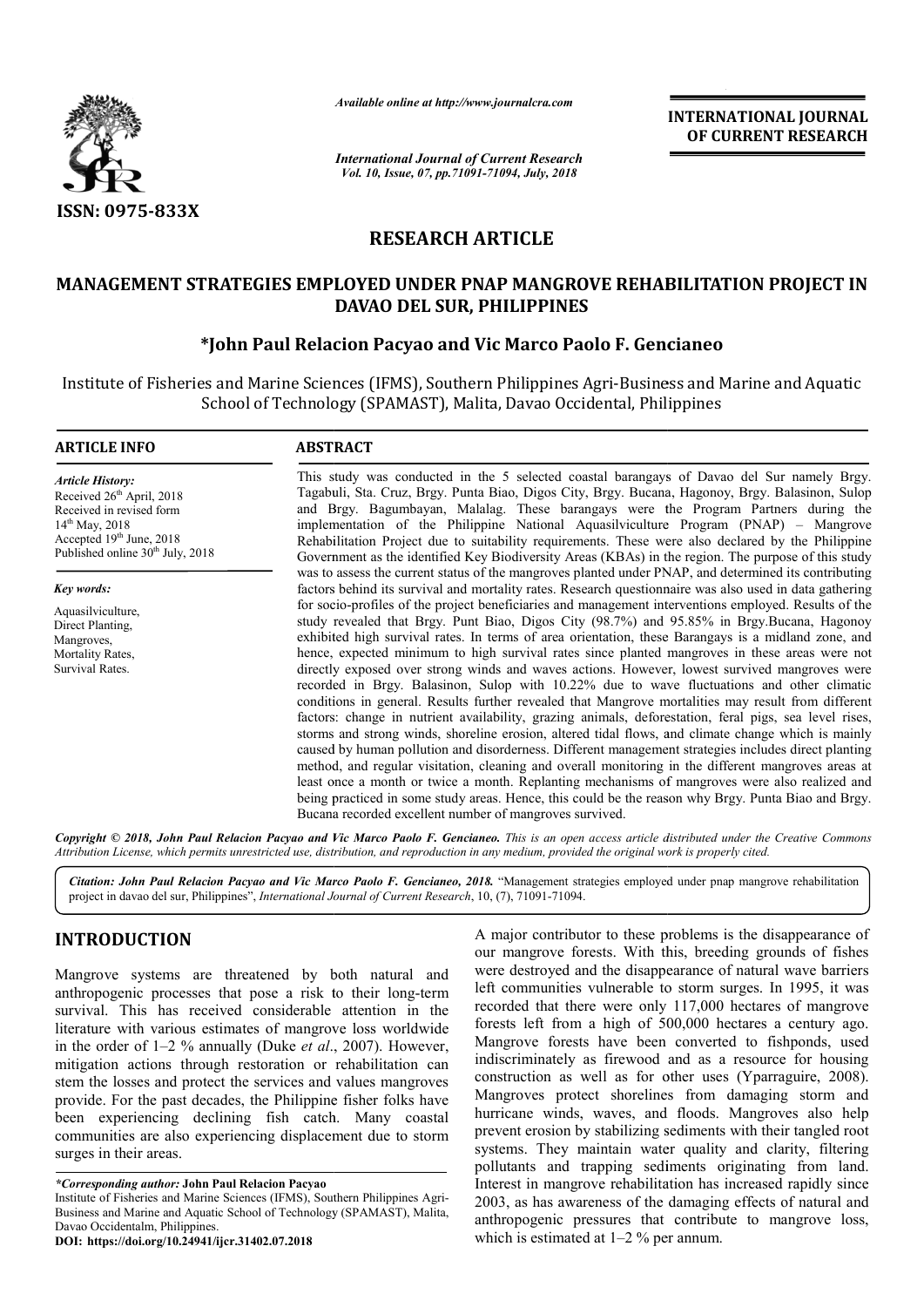

*Available online at http://www.journalcra.com*

*International Journal of Current Research Vol. 10, Issue, 07, pp.71091-71094, July, 2018*

**INTERNATIONAL JOURNAL OF CURRENT RESEARCH**

# **RESEARCH ARTICLE**

# **MANAGEMENT STRATEGIES EMPLOYED UNDER PNAP MANGROVE REHABILITATION PROJECT IN DAVAO DEL SUR, PHILIPPINES**

# **\*John Paul Relacion John Pacyao and Vic Marco Paolo F. Gencianeo Pacyao F. Gencianeo**

Institute of Fisheries and Marine Sciences (IFMS), Southern Philippines Agri-Business and Marine and Aquatic es and Marine Sciences (IFMS), Southern Philippines Agri-Business and<br>School of Technology (SPAMAST), Malita, Davao Occidental, Philippines

#### **ARTICLE INFO ABSTRACT**

*Article History:* Received 26<sup>th</sup> April, 2018 Received in revised form 14th May, 2018 Accepted  $19<sup>th</sup>$  June, 2018 Published online  $30<sup>th</sup>$  July, 2018

*Key words:*

Aquasilviculture, Direct Planting, Mangroves, Mortality Rates, Survival Rates.

This study was conducted in the 5 selected coastal barangays of Davao del Sur namely Brgy. Tagabuli, Sta. Cruz, Brgy. Punta Biao, Digos City, Brgy. Bucana, Hagonoy, Brgy. Balasinon, Sulop This study was conducted in the 5 selected coastal barangays of Davao del Sur namely Brgy. Tagabuli, Sta. Cruz, Brgy. Punta Biao, Digos City, Brgy. Bucana, Hagonoy, Brgy. Balasinon, Sulop and Brgy. Bagumbayan, Malalag. The implementation of the Philippine National Aquasilviculture Program (PNAP) – Mangrove Rehabilitation Project due to suitability requirements. These were also declared by the Philippine Government as the identified Key Biodiversity Areas (KBAs) in the region. The purpose of this study was to assess the current status of the mangroves planted under PNAP, and determined its contributing factors behind its survival and mortality rates. Research questionnaire was also used in data gathering for socio-profiles of the project beneficiaries and management interventions employed. Results of the study revealed that Brgy. Punt Biao, Digos City (98.7%) and 95.85% in Brgy.Bucana, Hagonoy Rehabilitation Project due to suitability requirements. These were also declared by the Philippine Government as the identified Key Biodiversity Areas (KBAs) in the region. The purpose of this study was to assess the curre hence, expected minimum to high survival rates since planted mangroves in these areas were not directly exposed over strong winds and waves actions. However, lowest survived mangroves were recorded in Brgy. Balasinon, Sulop with 10.22% due to wave fluctuations and other climatic conditions in general. Results further revealed that Mangrove mortalities may result from different factors: change in nutrient availability, grazing animals, deforestation, feral pigs, sea level rises storms and strong winds, shoreline erosion, altered tidal flows, and climate change which is mainly caused by human pollution and disorderness. Different management strategies includes direct planting method, and regular visitation, cleaning and overall monitoring in the different mangroves areas least once a month or twice a month. Replanting mechanisms of mangroves were also realized and least once a month or twice a month. Replanting mechanisms of mangroves were also realized and<br>being practiced in some study areas. Hence, this could be the reason why Brgy. Punta Biao and Brgy. Bucana recorded excellent number of mangroves survived. hence, expected minimum to high survival rates since planted mangroves in these areas were not directly exposed over strong winds and waves actions. However, lowest survived mangroves were recorded in Brgy. Balasinon, Sulo storms and strong winds, shoreline erosion, altered tidal flows, and climate change which is mainly caused by human pollution and disorderness. Different management strategies includes direct planting method, and regular v **INTERNATIONAL JOURNAL**<br> **IDENTIFY (SETT)**<br> **ISEN COVE REHABILITATION PROJECT IN**<br> **SS**<br> **SOVE REHABILITATION PROJECT IN**<br> **SS**<br> **SOVE REHABILITATION PROJECT INS**<br> **COVE REHABILITATION PROJECT IN**<br> **COVE AGAS** INTEGRATION

Copyright © 2018, John Paul Relacion Pacyao and Vic Marco Paolo F. Gencianeo. This is an open access article distributed under the Creative Commons Attribution License, which permits unrestricted use, distribution, and reproduction in any medium, provided the original work is properly cited.

Citation: John Paul Relacion Pacyao and Vic Marco Paolo F. Gencianeo, 2018. "Management strategies employed under pnap mangrove rehabilitation project in davao del sur, Philippines", *International Journal of Current Research*, 10, (7), 71091-71094.

## **INTRODUCTION**

Mangrove systems are threatened by both natural and anthropogenic processes that pose a risk to their long-term survival. This has received considerable attention in the literature with various estimates of mangrove loss worldwide in the order of 1–2 % annually (Duke *et al*., 2007). However, mitigation actions through restoration or rehabilitation can stem the losses and protect the services and values mangroves provide. For the past decades, the Philippine fisher folks have been experiencing declining fish catch. Many coastal communities are also experiencing displacement due to storm surges in their areas.

*\*Corresponding author:* **John Paul Relacion Pacyao** 

Institute of Fisheries and Marine Sciences (IFMS), Southern Philippines Agri-Business and Marine and Aquatic School of Technology (SPAMAST), Malita, Davao Occidentalm, Philippines.

**DOI: https://doi.org/10.24941/ijcr.31402.07.2018**

A major contributor to these problems is the disappearance of our mangrove forests. With this, breeding grounds of fishes A major contributor to these problems is the disappearance of our mangrove forests. With this, breeding grounds of fishes were destroyed and the disappearance of natural wave barriers left communities vulnerable to storm surges. In 1995, it was recorded that there were only 117,000 hectares of mangrove forests left from a high of 500,000 hectares a century ago. recorded that there were only 117,000 hectares of mangrove<br>forests left from a high of 500,000 hectares a century ago.<br>Mangrove forests have been converted to fishponds, used indiscriminately as firewood and as a resource for housing construction as well as for other uses (Yparraguire, 2008). Mangroves protect shorelines from damaging storm and hurricane winds, waves, and floods. Mangroves also help prevent erosion by stabilizing sediments with their tangled root systems. They maintain water quality and clarity, filtering pollutants and trapping sediments originating from land. Interest in mangrove rehabilitation has increased rapidly since 2003, as has awareness of the damaging effects of natural and anthropogenic pressures that contribute to mangrove loss, which is estimated at 1–2 % per annum. indiscriminately as firewood and as a resource for housing construction as well as for other uses (Yparraguire, 2008). Mangroves protect shorelines from damaging storm and hurricane winds, waves, and floods. Mangroves also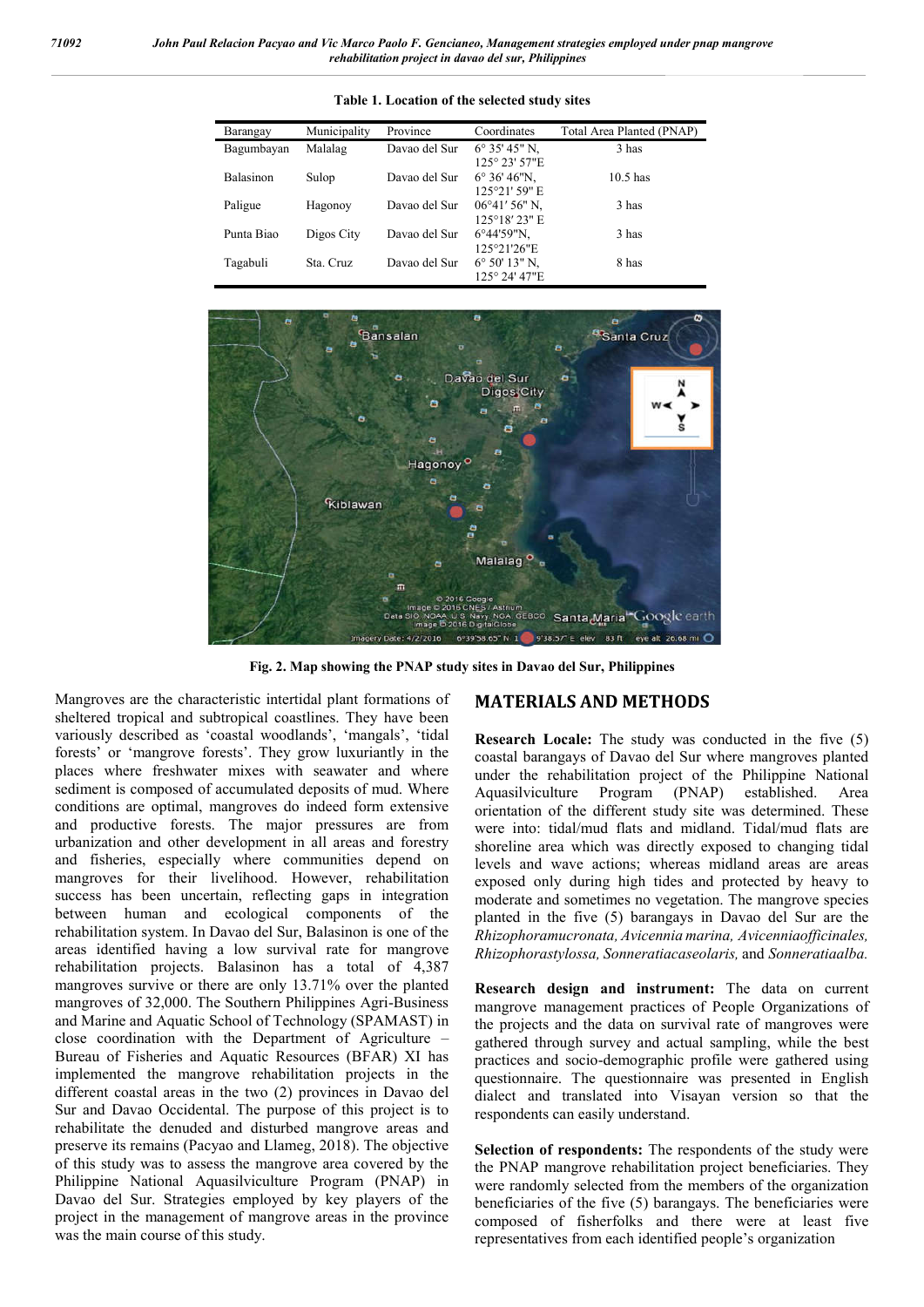| Barangay         | Municipality | Province      | Coordinates                                        | Total Area Planted (PNAP) |
|------------------|--------------|---------------|----------------------------------------------------|---------------------------|
| Bagumbayan       | Malalag      | Davao del Sur | $6^{\circ}$ 35' 45" N,<br>125° 23' 57"E            | 3 has                     |
| <b>Balasinon</b> | Sulop        | Davao del Sur | $6^{\circ} 36' 46'$ N,<br>125°21'59"E              | $10.5$ has                |
| Paligue          | Hagonoy      | Davao del Sur | $06^{\circ}41'56''$ N.<br>125°18′23″ E             | 3 has                     |
| Punta Biao       | Digos City   | Davao del Sur | $6^{\circ}44'59''N$ ,<br>125°21'26"E               | 3 has                     |
| Tagabuli         | Sta. Cruz    | Davao del Sur | $6^{\circ} 50' 13'' N$ ,<br>$125^{\circ}$ 24' 47"E | 8 has                     |





**Fig. 2. Map showing the PNAP study sites in Davao del Sur, Philippines**

Mangroves are the characteristic intertidal plant formations of sheltered tropical and subtropical coastlines. They have been variously described as 'coastal woodlands', 'mangals', 'tidal forests' or 'mangrove forests'. They grow luxuriantly in the places where freshwater mixes with seawater and where sediment is composed of accumulated deposits of mud. Where conditions are optimal, mangroves do indeed form extensive and productive forests. The major pressures are from urbanization and other development in all areas and forestry and fisheries, especially where communities depend on mangroves for their livelihood. However, rehabilitation success has been uncertain, reflecting gaps in integration between human and ecological components of the rehabilitation system. In Davao del Sur, Balasinon is one of the areas identified having a low survival rate for mangrove rehabilitation projects. Balasinon has a total of 4,387 mangroves survive or there are only 13.71% over the planted mangroves of 32,000. The Southern Philippines Agri-Business and Marine and Aquatic School of Technology (SPAMAST) in close coordination with the Department of Agriculture – Bureau of Fisheries and Aquatic Resources (BFAR) XI has implemented the mangrove rehabilitation projects in the different coastal areas in the two (2) provinces in Davao del Sur and Davao Occidental. The purpose of this project is to rehabilitate the denuded and disturbed mangrove areas and preserve its remains (Pacyao and Llameg, 2018). The objective of this study was to assess the mangrove area covered by the Philippine National Aquasilviculture Program (PNAP) in Davao del Sur. Strategies employed by key players of the project in the management of mangrove areas in the province was the main course of this study.

## **MATERIALS AND METHODS**

**Research Locale:** The study was conducted in the five (5) coastal barangays of Davao del Sur where mangroves planted under the rehabilitation project of the Philippine National Aquasilviculture Program (PNAP) established. Area orientation of the different study site was determined. These were into: tidal/mud flats and midland. Tidal/mud flats are shoreline area which was directly exposed to changing tidal levels and wave actions; whereas midland areas are areas exposed only during high tides and protected by heavy to moderate and sometimes no vegetation. The mangrove species planted in the five (5) barangays in Davao del Sur are the *Rhizophoramucronata, Avicennia marina, Avicenniaofficinales, Rhizophorastylossa, Sonneratiacaseolaris,* and *Sonneratiaalba.*

**Research design and instrument:** The data on current mangrove management practices of People Organizations of the projects and the data on survival rate of mangroves were gathered through survey and actual sampling, while the best practices and socio-demographic profile were gathered using questionnaire. The questionnaire was presented in English dialect and translated into Visayan version so that the respondents can easily understand.

**Selection of respondents:** The respondents of the study were the PNAP mangrove rehabilitation project beneficiaries. They were randomly selected from the members of the organization beneficiaries of the five (5) barangays. The beneficiaries were composed of fisherfolks and there were at least five representatives from each identified people's organization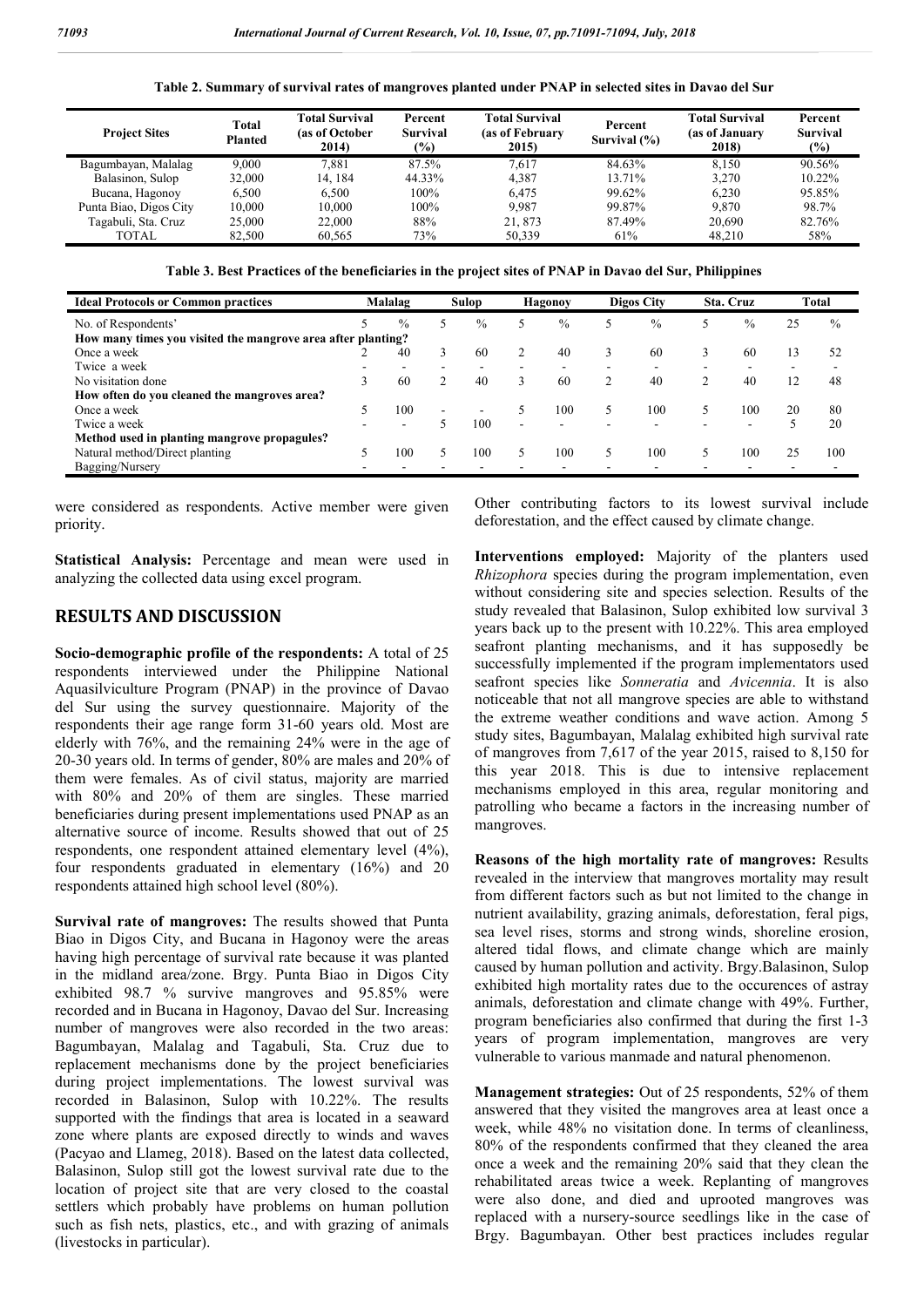|  | Table 2. Summary of survival rates of mangroves planted under PNAP in selected sites in Davao del Sur |  |  |  |
|--|-------------------------------------------------------------------------------------------------------|--|--|--|
|--|-------------------------------------------------------------------------------------------------------|--|--|--|

| <b>Project Sites</b>   | Total<br><b>Planted</b> | <b>Total Survival</b><br>(as of October<br>2014) | Percent<br>Survival<br>$(\%)$ | <b>Total Survival</b><br>(as of February<br>Survival $(\% )$<br>2015) |        | <b>Total Survival</b><br>(as of January<br>2018) | Percent<br><b>Survival</b><br>$(\%)$ |  |
|------------------------|-------------------------|--------------------------------------------------|-------------------------------|-----------------------------------------------------------------------|--------|--------------------------------------------------|--------------------------------------|--|
| Bagumbayan, Malalag    | 9.000                   | 7.881                                            | 87.5%                         | 7.617                                                                 | 84.63% | 8.150                                            | 90.56%                               |  |
| Balasinon, Sulop       | 32,000                  | 14.184                                           | 44.33%                        | 4.387                                                                 | 13.71% | 3.270                                            | 10.22%                               |  |
| Bucana, Hagonoy        | 6.500                   | 6.500                                            | 100%                          | 6.475                                                                 | 99.62% | 6.230                                            | 95.85%                               |  |
| Punta Biao, Digos City | 10.000                  | 10.000                                           | 100%                          | 9.987                                                                 | 99.87% | 9.870                                            | 98.7%                                |  |
| Tagabuli, Sta. Cruz    | 25,000                  | 22,000                                           | 88%                           | 21.873                                                                | 87.49% | 20.690                                           | 82.76%                               |  |
| TOTAL                  | 82.500                  | 60.565                                           | 73%                           | 50.339                                                                | 61%    | 48.210                                           | 58%                                  |  |

**Table 3. Best Practices of the beneficiaries in the project sites of PNAP in Davao del Sur, Philippines**

| <b>Ideal Protocols or Common practices</b>                   |  | Malalag       |   | <b>Sulop</b> |   | <b>Hagonoy</b>           |  | <b>Digos City</b> |   | Sta. Cruz |    | <b>Total</b>  |  |
|--------------------------------------------------------------|--|---------------|---|--------------|---|--------------------------|--|-------------------|---|-----------|----|---------------|--|
| No. of Respondents'                                          |  | $\frac{0}{0}$ |   | $\%$         |   | $\frac{0}{0}$            |  | $\%$              |   | $\%$      | 25 | $\frac{0}{0}$ |  |
| How many times you visited the mangrove area after planting? |  |               |   |              |   |                          |  |                   |   |           |    |               |  |
| Once a week                                                  |  | 40            |   | 60           |   | 40                       |  | 60                | 3 | 60        | 13 | 52            |  |
| Twice a week                                                 |  |               |   |              |   |                          |  | ۰                 |   |           |    |               |  |
| No visitation done                                           |  | 60            |   | 40           | 3 | 60                       |  | 40                | 2 | 40        | 12 | 48            |  |
| How often do you cleaned the mangroves area?                 |  |               |   |              |   |                          |  |                   |   |           |    |               |  |
| Once a week                                                  |  | 100           | ۰ |              |   | 100                      |  | 100               |   | 100       | 20 | 80            |  |
| Twice a week                                                 |  |               |   | 100          | - | $\overline{\phantom{a}}$ |  | ۰                 |   | ۰         |    | 20            |  |
| Method used in planting mangrove propagules?                 |  |               |   |              |   |                          |  |                   |   |           |    |               |  |
| Natural method/Direct planting                               |  | 100           |   | 00           |   | 100                      |  | 100               |   | 100       | 25 | 100           |  |
| Bagging/Nursery                                              |  |               |   |              |   |                          |  | -                 |   |           |    |               |  |

were considered as respondents. Active member were given priority.

**Statistical Analysis:** Percentage and mean were used in analyzing the collected data using excel program.

### **RESULTS AND DISCUSSION**

**Socio-demographic profile of the respondents:** A total of 25 respondents interviewed under the Philippine National Aquasilviculture Program (PNAP) in the province of Davao del Sur using the survey questionnaire. Majority of the respondents their age range form 31-60 years old. Most are elderly with 76%, and the remaining 24% were in the age of 20-30 years old. In terms of gender, 80% are males and 20% of them were females. As of civil status, majority are married with 80% and 20% of them are singles. These married beneficiaries during present implementations used PNAP as an alternative source of income. Results showed that out of 25 respondents, one respondent attained elementary level (4%), four respondents graduated in elementary (16%) and 20 respondents attained high school level (80%).

**Survival rate of mangroves:** The results showed that Punta Biao in Digos City, and Bucana in Hagonoy were the areas having high percentage of survival rate because it was planted in the midland area/zone. Brgy. Punta Biao in Digos City exhibited 98.7 % survive mangroves and 95.85% were recorded and in Bucana in Hagonoy, Davao del Sur. Increasing number of mangroves were also recorded in the two areas: Bagumbayan, Malalag and Tagabuli, Sta. Cruz due to replacement mechanisms done by the project beneficiaries during project implementations. The lowest survival was recorded in Balasinon, Sulop with 10.22%. The results supported with the findings that area is located in a seaward zone where plants are exposed directly to winds and waves (Pacyao and Llameg, 2018). Based on the latest data collected, Balasinon, Sulop still got the lowest survival rate due to the location of project site that are very closed to the coastal settlers which probably have problems on human pollution such as fish nets, plastics, etc., and with grazing of animals (livestocks in particular).

Other contributing factors to its lowest survival include deforestation, and the effect caused by climate change.

**Interventions employed:** Majority of the planters used *Rhizophora* species during the program implementation, even without considering site and species selection. Results of the study revealed that Balasinon, Sulop exhibited low survival 3 years back up to the present with 10.22%. This area employed seafront planting mechanisms, and it has supposedly be successfully implemented if the program implementators used seafront species like *Sonneratia* and *Avicennia*. It is also noticeable that not all mangrove species are able to withstand the extreme weather conditions and wave action. Among 5 study sites, Bagumbayan, Malalag exhibited high survival rate of mangroves from 7,617 of the year 2015, raised to 8,150 for this year 2018. This is due to intensive replacement mechanisms employed in this area, regular monitoring and patrolling who became a factors in the increasing number of mangroves.

**Reasons of the high mortality rate of mangroves:** Results revealed in the interview that mangroves mortality may result from different factors such as but not limited to the change in nutrient availability, grazing animals, deforestation, feral pigs, sea level rises, storms and strong winds, shoreline erosion, altered tidal flows, and climate change which are mainly caused by human pollution and activity. Brgy.Balasinon, Sulop exhibited high mortality rates due to the occurences of astray animals, deforestation and climate change with 49%. Further, program beneficiaries also confirmed that during the first 1-3 years of program implementation, mangroves are very vulnerable to various manmade and natural phenomenon.

**Management strategies:** Out of 25 respondents, 52% of them answered that they visited the mangroves area at least once a week, while 48% no visitation done. In terms of cleanliness, 80% of the respondents confirmed that they cleaned the area once a week and the remaining 20% said that they clean the rehabilitated areas twice a week. Replanting of mangroves were also done, and died and uprooted mangroves was replaced with a nursery-source seedlings like in the case of Brgy. Bagumbayan. Other best practices includes regular